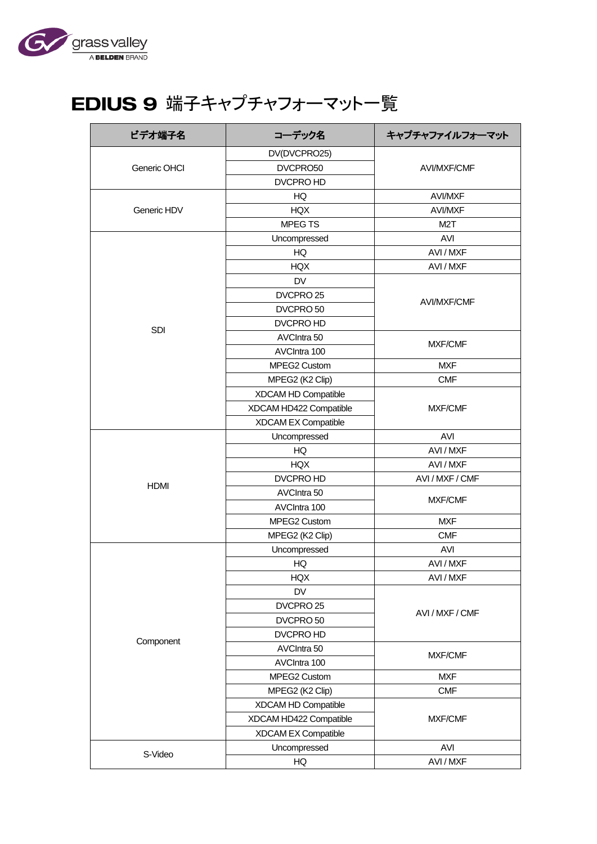

## EDIUS 9 端子キャプチャフォーマット一覧

| ビデオ端子名       | コーデック名                 | キャプチャファイルフォーマット    |
|--------------|------------------------|--------------------|
|              | DV(DVCPRO25)           |                    |
| Generic OHCI | DVCPRO50               | <b>AVI/MXF/CMF</b> |
|              | DVCPRO HD              |                    |
|              | HQ                     | <b>AVI/MXF</b>     |
| Generic HDV  | <b>HQX</b>             | <b>AVI/MXF</b>     |
|              | <b>MPEGTS</b>          | M <sub>2</sub> T   |
|              | Uncompressed           | AVI                |
|              | HQ                     | AVI / MXF          |
|              | <b>HQX</b>             | AVI / MXF          |
|              | DV                     |                    |
|              | DVCPRO <sub>25</sub>   |                    |
|              | DVCPRO 50              | <b>AVI/MXF/CMF</b> |
|              | DVCPRO HD              |                    |
| SDI          | AVCIntra 50            | <b>MXF/CMF</b>     |
|              | AVCIntra 100           |                    |
|              | MPEG2 Custom           | <b>MXF</b>         |
|              | MPEG2 (K2 Clip)        | <b>CMF</b>         |
|              | XDCAM HD Compatible    |                    |
|              | XDCAM HD422 Compatible | <b>MXF/CMF</b>     |
|              | XDCAM EX Compatible    |                    |
|              | Uncompressed           | AVI                |
|              | HQ                     | AVI / MXF          |
|              | <b>HQX</b>             | AVI / MXF          |
| <b>HDMI</b>  | DVCPRO HD              | AVI / MXF / CMF    |
|              | AVCIntra 50            | MXF/CMF            |
|              | AVCIntra 100           |                    |
|              | MPEG2 Custom           | <b>MXF</b>         |
|              | MPEG2 (K2 Clip)        | <b>CMF</b>         |
|              | Uncompressed           | AVI                |
|              | HQ                     | AVI / MXF          |
|              | HQX                    | AVI / MXF          |
|              | DV                     |                    |
|              | DVCPRO <sub>25</sub>   | AVI / MXF / CMF    |
|              | DVCPRO 50              |                    |
| Component    | DVCPRO HD              |                    |
|              | AVCIntra 50            | MXF/CMF            |
|              | AVCIntra 100           |                    |
|              | MPEG2 Custom           | <b>MXF</b>         |
|              | MPEG2 (K2 Clip)        | <b>CMF</b>         |
|              | XDCAM HD Compatible    |                    |
|              | XDCAM HD422 Compatible | MXF/CMF            |
|              | XDCAM EX Compatible    |                    |
|              | Uncompressed           | AVI                |
| S-Video      | HQ                     | AVI / MXF          |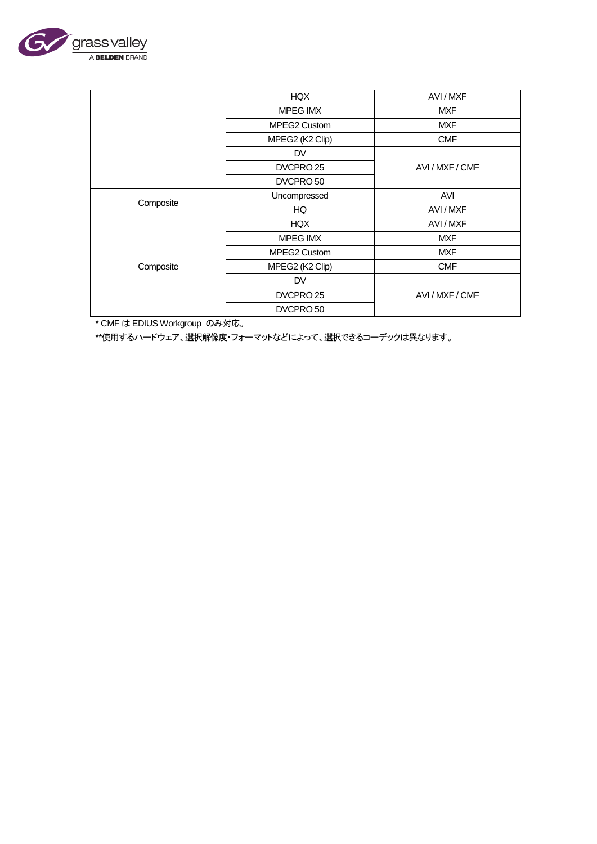

|           | HQX                  | AVI / MXF       |
|-----------|----------------------|-----------------|
|           | MPEG IMX             | <b>MXF</b>      |
|           | <b>MPEG2 Custom</b>  | <b>MXF</b>      |
|           | MPEG2 (K2 Clip)      | <b>CMF</b>      |
|           | <b>DV</b>            |                 |
|           | DVCPRO 25            | AVI / MXF / CMF |
|           | DVCPRO 50            |                 |
| Composite | Uncompressed         | AVI             |
|           | HQ                   | AVI/MXF         |
|           | <b>HQX</b>           | AVI / MXF       |
|           | MPEG IMX             | <b>MXF</b>      |
|           | MPEG2 Custom         | <b>MXF</b>      |
| Composite | MPEG2 (K2 Clip)      | <b>CMF</b>      |
|           | DV                   |                 |
|           | DVCPRO <sub>25</sub> | AVI / MXF / CMF |
|           | DVCPRO 50            |                 |

\* CMF は EDIUS Workgroup のみ対応。

\*\*使用するハードウェア、選択解像度・フォーマットなどによって、選択できるコーデックは異なります。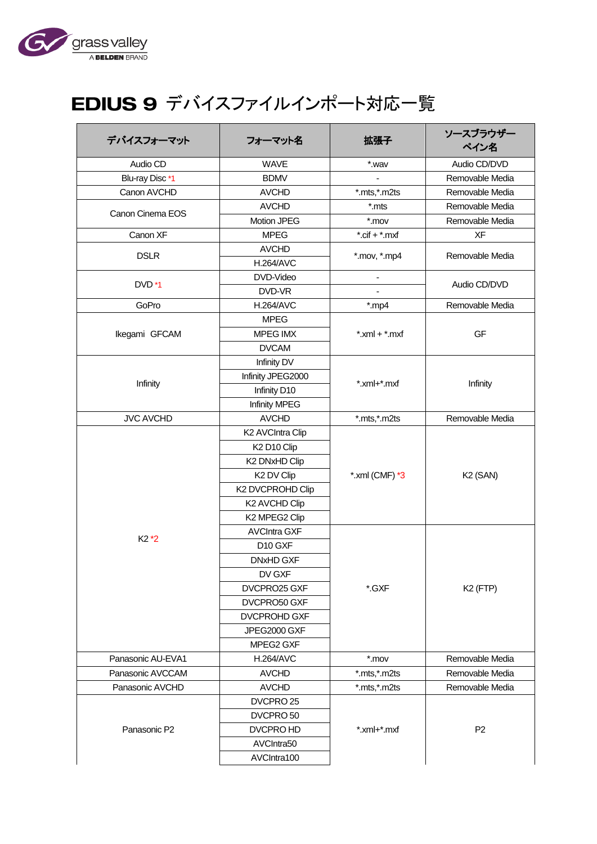

## EDIUS 9 デバイスファイルインポート対応一覧

| デバイスフォーマット        | フォーマット名                             | 拡張子                 | ソースブラウザー<br>ペイン名     |
|-------------------|-------------------------------------|---------------------|----------------------|
| Audio CD          | <b>WAVE</b>                         | *.wav               | Audio CD/DVD         |
| Blu-ray Disc *1   | <b>BDMV</b>                         |                     | Removable Media      |
| Canon AVCHD       | <b>AVCHD</b>                        | *.mts,*.m2ts        | Removable Media      |
| Canon Cinema EOS  | <b>AVCHD</b>                        | *.mts               | Removable Media      |
|                   | Motion JPEG                         | $*$ .mov            | Removable Media      |
| Canon XF          | <b>MPEG</b>                         | $*.$ cif + $*.$ mxf | XF                   |
| <b>DSLR</b>       | <b>AVCHD</b>                        | *.mov, *.mp4        | Removable Media      |
|                   | <b>H.264/AVC</b>                    |                     |                      |
| DVD <sup>*1</sup> | DVD-Video                           |                     | Audio CD/DVD         |
|                   | DVD-VR                              |                     |                      |
| GoPro             | <b>H.264/AVC</b>                    | $*$ .mp4            | Removable Media      |
|                   | <b>MPEG</b>                         |                     |                      |
| Ikegami GFCAM     | <b>MPEG IMX</b>                     | $*$ .xml + $*$ .mxf | GF                   |
|                   | <b>DVCAM</b>                        |                     |                      |
|                   | Infinity DV                         |                     |                      |
| Infinity          | Infinity JPEG2000                   | *.xml+*.mxf         | Infinity             |
|                   | Infinity D10                        |                     |                      |
|                   | <b>Infinity MPEG</b>                |                     |                      |
| <b>JVC AVCHD</b>  | <b>AVCHD</b>                        | *.mts,*.m2ts        | Removable Media      |
|                   | K2 AVCIntra Clip                    |                     |                      |
|                   | K <sub>2</sub> D <sub>10</sub> Clip |                     |                      |
|                   | K2 DNxHD Clip                       |                     |                      |
|                   | K <sub>2</sub> DV Clip              | *.xml (CMF) *3      | K <sub>2</sub> (SAN) |
|                   | K2 DVCPROHD Clip                    |                     |                      |
|                   | K2 AVCHD Clip                       |                     |                      |
|                   | K2 MPEG2 Clip                       |                     |                      |
| $K2*2$            | <b>AVCIntra GXF</b>                 |                     |                      |
|                   | D10 GXF                             |                     |                      |
|                   | DNxHD GXF                           |                     |                      |
|                   | DV GXF                              |                     |                      |
|                   | DVCPRO25 GXF                        | *.GXF               | K <sub>2</sub> (FTP) |
|                   | DVCPRO50 GXF                        |                     |                      |
|                   | <b>DVCPROHD GXF</b>                 |                     |                      |
|                   | JPEG2000 GXF                        |                     |                      |
|                   | MPEG2 GXF                           |                     |                      |
| Panasonic AU-EVA1 | <b>H.264/AVC</b>                    | $*$ .mov            | Removable Media      |
| Panasonic AVCCAM  | <b>AVCHD</b>                        | *.mts,*.m2ts        | Removable Media      |
| Panasonic AVCHD   | <b>AVCHD</b>                        | *.mts,*.m2ts        | Removable Media      |
|                   | DVCPRO 25                           |                     |                      |
|                   | DVCPRO 50                           |                     |                      |
| Panasonic P2      | DVCPRO HD                           | *.xml+*.mxf         | P <sub>2</sub>       |
|                   | AVCIntra50                          |                     |                      |
|                   | AVCIntra100                         |                     |                      |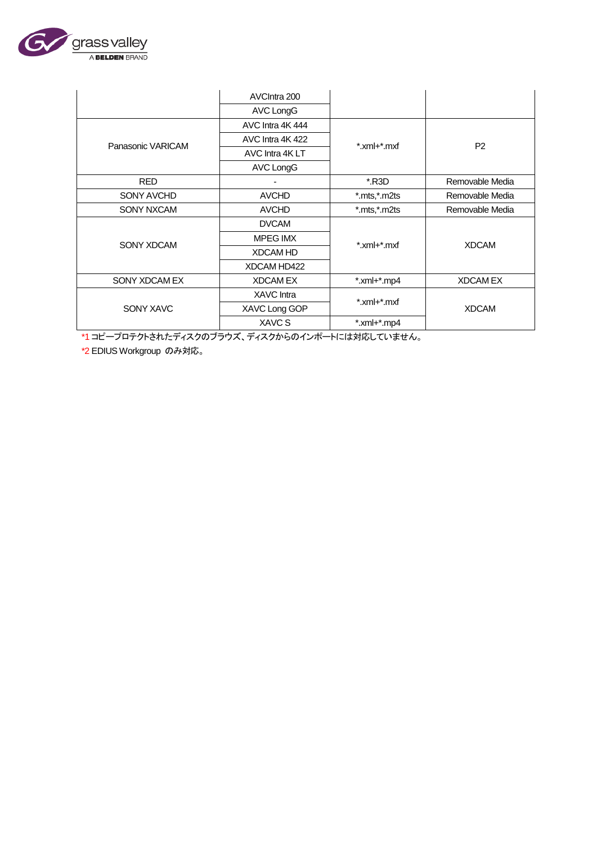

|                   | AVCIntra 200      |                    |                 |
|-------------------|-------------------|--------------------|-----------------|
|                   | AVC LongG         |                    |                 |
|                   | AVC Intra 4K 444  |                    |                 |
| Panasonic VARICAM | AVC Intra 4K 422  | *.xml+*.mxf        | P <sub>2</sub>  |
|                   | AVC Intra 4K LT   |                    |                 |
|                   | <b>AVC LongG</b>  |                    |                 |
| <b>RED</b>        |                   | *.R3D              | Removable Media |
| SONY AVCHD        | <b>AVCHD</b>      | *.mts,*.m2ts       | Removable Media |
| <b>SONY NXCAM</b> | <b>AVCHD</b>      | *.mts,*.m2ts       | Removable Media |
|                   | <b>DVCAM</b>      |                    |                 |
| SONY XDCAM        | <b>MPEG IMX</b>   | *.xml+*.mxf        | <b>XDCAM</b>    |
|                   | <b>XDCAM HD</b>   |                    |                 |
|                   | XDCAM HD422       |                    |                 |
| SONY XDCAM EX     | <b>XDCAMEX</b>    | $*$ .xml+ $*$ .mp4 | <b>XDCAMEX</b>  |
|                   | <b>XAVC</b> Intra | *.xml+*.mxf        |                 |
| SONY XAVC         | XAVC Long GOP     |                    | <b>XDCAM</b>    |
|                   | XAVC S            | $*$ .xml+ $*$ .mp4 |                 |

\*1 コピープロテクトされたディスクのブラウズ、ディスクからのインポートには対応していません。

\*2 EDIUS Workgroup のみ対応。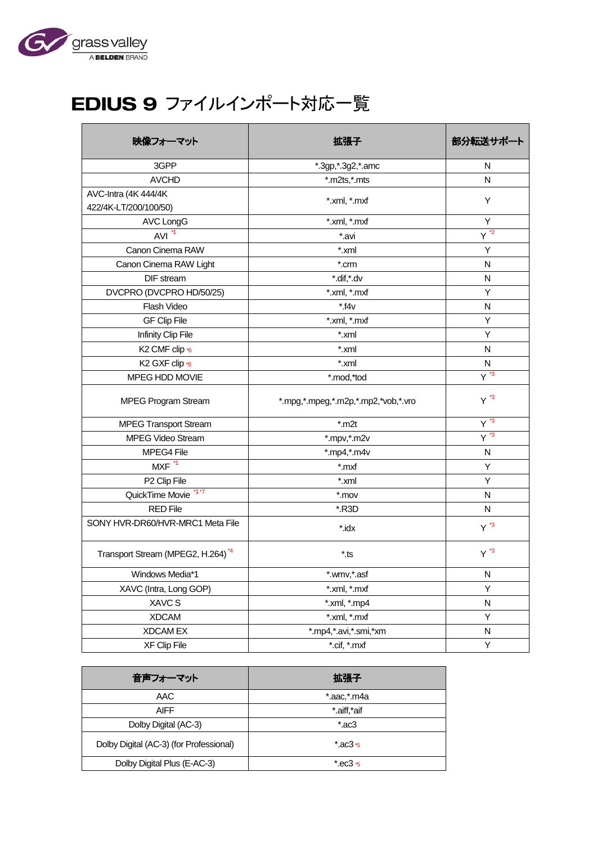

## EDIUS 9 ファイルインポート対応一覧

| 映像フォーマット                                      | 拡張子                                 | 部分転送サポート          |
|-----------------------------------------------|-------------------------------------|-------------------|
| 3GPP                                          | *.3gp, *.3g2, *.amc                 | N                 |
| <b>AVCHD</b>                                  | *.m2ts,*.mts                        | N                 |
| AVC-Intra (4K 444/4K                          | *.xml, *.mxf                        | Υ                 |
| 422/4K-LT/200/100/50)                         |                                     |                   |
| <b>AVC LongG</b>                              | *.xml, *.mxf                        | Υ                 |
| $AVI^{\star 1}$                               | *.avi                               | $Y^{\frac{1}{2}}$ |
| Canon Cinema RAW                              | *.xml                               | Y                 |
| Canon Cinema RAW Light                        | *.crm                               | N                 |
| DIF stream                                    | *.dif,*.dv                          | N                 |
| DVCPRO (DVCPRO HD/50/25)                      | *.xml, *.mxf                        | Υ                 |
| Flash Video                                   | $*14v$                              | N                 |
| <b>GF Clip File</b>                           | *.xml, *.mxf                        | Υ                 |
| Infinity Clip File                            | *.xml                               | Υ                 |
| K2 CMF clip *6                                | *.xml                               | N                 |
| K <sub>2</sub> GXF clip *6                    | *.xml                               | N                 |
| MPEG HDD MOVIE                                | *.mod,*tod                          | $Y^3$             |
| <b>MPEG Program Stream</b>                    | *.mpg,*.mpeg,*.m2p,*.mp2,*vob,*.vro | $Y^*$             |
| <b>MPEG Transport Stream</b>                  | $*$ .m2t                            | $Y^3$             |
| <b>MPEG Video Stream</b>                      | *.mpv,*.m2v                         | $Y^3$             |
| MPEG4 File                                    | $*$ .mp4, $*$ .m4 $v$               | N                 |
| MXF <sup>11</sup>                             | *.mxf                               | Y                 |
| P2 Clip File                                  | *.xml                               | Υ                 |
| QuickTime Movie <sup>*17</sup>                | $*$ .mov                            | N                 |
| <b>RED File</b>                               | *.R3D                               | N                 |
| SONY HVR-DR60/HVR-MRC1 Meta File              | *.idx                               | $Y^*$             |
| Transport Stream (MPEG2, H.264) <sup>*4</sup> | *.ts                                | $Y^*$             |
| Windows Media*1                               | *.wmv,*.asf                         | ${\sf N}$         |
| XAVC (Intra, Long GOP)                        | *.xml, *.mxf                        | Υ                 |
| XAVC S                                        | *.xml, *.mp4                        | N                 |
| <b>XDCAM</b>                                  | *.xml, *.mxf                        | Υ                 |
| <b>XDCAM EX</b>                               | *.mp4,*.avi,*.smi,*xm               | N                 |
| XF Clip File                                  | *.cif, *.mxf                        | Y                 |

| 音声フォーマット                                | 拡張子            |
|-----------------------------------------|----------------|
| AAC                                     | *.aac,*.m4a    |
| AIFF                                    | *.aiff.*aif    |
| Dolby Digital (AC-3)                    | $*$ .ac3       |
| Dolby Digital (AC-3) (for Professional) | $*$ .ac3 $*$ 5 |
| Dolby Digital Plus (E-AC-3)             | $*$ .ec3 $*$ 5 |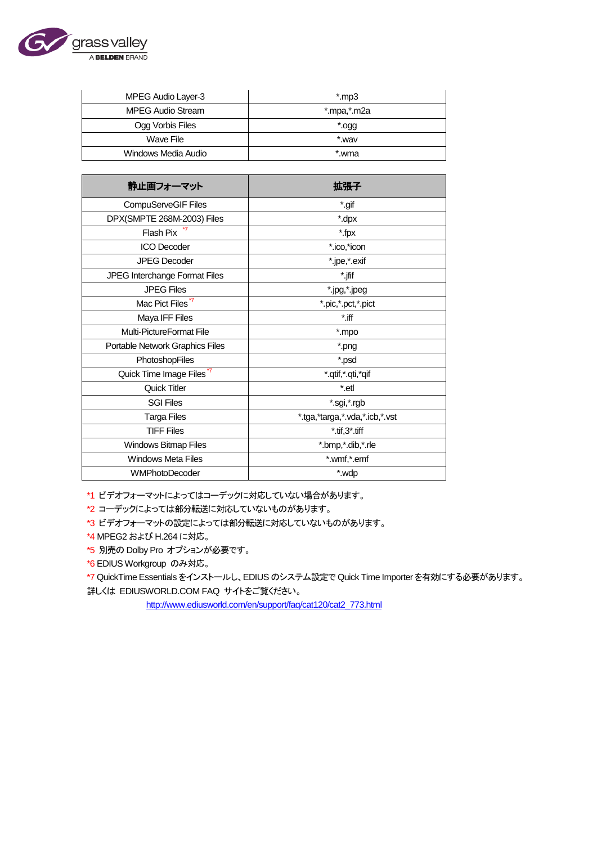

| MPEG Audio Layer-3       | mp3".       |
|--------------------------|-------------|
| <b>MPEG Audio Stream</b> | *.mpa,*.m2a |
| Ogg Vorbis Files         | ".ogg       |
| Wave File                | *.wav       |
| Windows Media Audio      | *.wma       |

| 静止画フォーマット                            | 拡張子                            |
|--------------------------------------|--------------------------------|
| CompuServeGIF Files                  | *.gif                          |
| DPX(SMPTE 268M-2003) Files           | *.dpx                          |
| Flash Pix                            | *.fpx                          |
| <b>ICO Decoder</b>                   | *.ico,*icon                    |
| <b>JPEG Decoder</b>                  | *.jpe,*.exif                   |
| JPEG Interchange Format Files        | *.jfif                         |
| <b>JPEG Files</b>                    | *.jpg,*.jpeg                   |
| Mac Pict Files <sup>*7</sup>         | *.pic,*.pct,*.pict             |
| Maya IFF Files                       | $^*$ .iff                      |
| Multi-PictureFormat File             | *.mpo                          |
| Portable Network Graphics Files      | *.png                          |
| PhotoshopFiles                       | *.psd                          |
| Quick Time Image Files <sup>*7</sup> | *.qtif,*.qti,*qif              |
| Quick Titler                         | *.etl                          |
| <b>SGI Files</b>                     | *.sgi,*.rgb                    |
| <b>Targa Files</b>                   | *.tga,*targa,*.vda,*.icb,*.vst |
| <b>TIFF Files</b>                    | $*$ .tif, $3*$ .tiff           |
| Windows Bitmap Files                 | *.bmp,*.dib,*.rle              |
| <b>Windows Meta Files</b>            | *.wmf,*.emf                    |
| <b>WMPhotoDecoder</b>                | *.wdp                          |

\*1 ビデオフォーマットによってはコーデックに対応していない場合があります。

\*2 コーデックによっては部分転送に対応していないものがあります。

\*3 ビデオフォーマットの設定によっては部分転送に対応していないものがあります。

\*4 MPEG2 および H.264 に対応。

\*5 別売の Dolby Pro オプションが必要です。

\*6 EDIUS Workgroup のみ対応。

\*7 QuickTime Essentials をインストールし、EDIUS のシステム設定で Quick Time Importer を有効にする必要があります。 詳しくは EDIUSWORLD.COM FAQ サイトをご覧ください。

[http://www.ediusworld.com/en/support/faq/cat120/cat2\\_773.html](http://www.ediusworld.com/en/support/faq/cat120/cat2_773.html)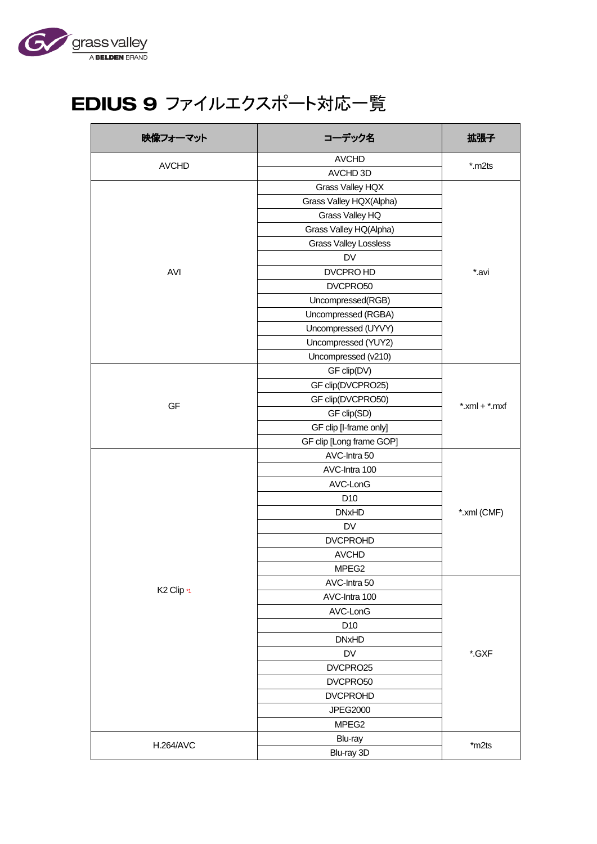

## EDIUS 9 ファイルエクスポート対応一覧

| 映像フォーマット               | コーデック名                       | 拡張子                 |
|------------------------|------------------------------|---------------------|
| <b>AVCHD</b>           | <b>AVCHD</b>                 | $*$ .m2ts           |
|                        | AVCHD 3D                     |                     |
|                        | Grass Valley HQX             |                     |
|                        | Grass Valley HQX(Alpha)      |                     |
|                        | Grass Valley HQ              |                     |
|                        | Grass Valley HQ(Alpha)       |                     |
|                        | <b>Grass Valley Lossless</b> |                     |
|                        | DV                           |                     |
| AVI                    | DVCPRO HD                    | *.avi               |
|                        | DVCPRO50                     |                     |
|                        | Uncompressed(RGB)            |                     |
|                        | Uncompressed (RGBA)          |                     |
|                        | Uncompressed (UYVY)          |                     |
|                        | Uncompressed (YUY2)          |                     |
|                        | Uncompressed (v210)          |                     |
|                        | GF clip(DV)                  |                     |
|                        | GF clip(DVCPRO25)            |                     |
|                        | GF clip(DVCPRO50)            |                     |
| GF                     | GF clip(SD)                  | $*$ .xml + $*$ .mxf |
|                        | GF clip [I-frame only]       |                     |
|                        | GF clip [Long frame GOP]     |                     |
|                        | AVC-Intra 50                 |                     |
|                        | AVC-Intra 100                |                     |
|                        | AVC-LonG                     |                     |
|                        | D <sub>10</sub>              |                     |
|                        | <b>DNxHD</b>                 | *.xml (CMF)         |
|                        | DV                           |                     |
|                        | <b>DVCPROHD</b>              |                     |
|                        | <b>AVCHD</b>                 |                     |
|                        | MPEG <sub>2</sub>            |                     |
|                        | AVC-Intra 50                 |                     |
| K <sub>2</sub> Clip *1 | AVC-Intra 100                |                     |
|                        | AVC-LonG                     |                     |
|                        | D <sub>10</sub>              |                     |
|                        | <b>DNxHD</b>                 |                     |
|                        | DV                           | *.GXF               |
|                        | DVCPRO25                     |                     |
|                        | DVCPRO50                     |                     |
|                        | <b>DVCPROHD</b>              |                     |
|                        | <b>JPEG2000</b>              |                     |
|                        | MPEG <sub>2</sub>            |                     |
|                        | Blu-ray                      |                     |
| <b>H.264/AVC</b>       | Blu-ray 3D                   | $*$ m2ts            |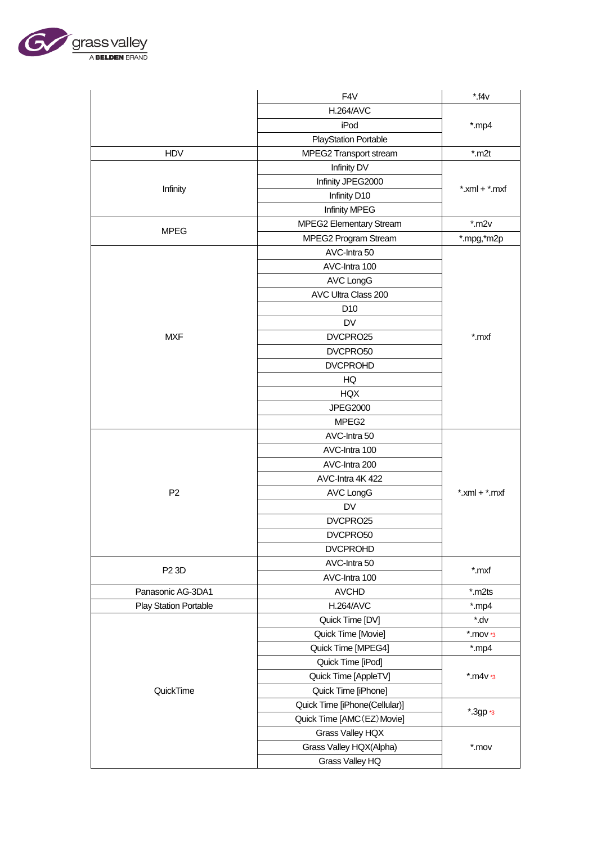

| <b>H.264/AVC</b><br>iPod<br>$*$ .mp4<br><b>PlayStation Portable</b><br><b>HDV</b><br>MPEG2 Transport stream<br>$*$ .m2t<br>Infinity DV<br>Infinity JPEG2000<br>Infinity<br>$*$ .xml + $*$ .mxf<br>Infinity D10<br>Infinity MPEG<br>$*$ .m2 $v$<br>MPEG2 Elementary Stream<br><b>MPEG</b><br>MPEG2 Program Stream<br>*.mpg,*m2p<br>AVC-Intra 50<br>AVC-Intra 100<br><b>AVC LongG</b><br>AVC Ultra Class 200<br>D <sub>10</sub><br><b>DV</b><br><b>MXF</b><br>DVCPRO25<br>*.mxf |
|-------------------------------------------------------------------------------------------------------------------------------------------------------------------------------------------------------------------------------------------------------------------------------------------------------------------------------------------------------------------------------------------------------------------------------------------------------------------------------|
|                                                                                                                                                                                                                                                                                                                                                                                                                                                                               |
|                                                                                                                                                                                                                                                                                                                                                                                                                                                                               |
|                                                                                                                                                                                                                                                                                                                                                                                                                                                                               |
|                                                                                                                                                                                                                                                                                                                                                                                                                                                                               |
|                                                                                                                                                                                                                                                                                                                                                                                                                                                                               |
|                                                                                                                                                                                                                                                                                                                                                                                                                                                                               |
|                                                                                                                                                                                                                                                                                                                                                                                                                                                                               |
|                                                                                                                                                                                                                                                                                                                                                                                                                                                                               |
|                                                                                                                                                                                                                                                                                                                                                                                                                                                                               |
|                                                                                                                                                                                                                                                                                                                                                                                                                                                                               |
|                                                                                                                                                                                                                                                                                                                                                                                                                                                                               |
|                                                                                                                                                                                                                                                                                                                                                                                                                                                                               |
|                                                                                                                                                                                                                                                                                                                                                                                                                                                                               |
|                                                                                                                                                                                                                                                                                                                                                                                                                                                                               |
|                                                                                                                                                                                                                                                                                                                                                                                                                                                                               |
|                                                                                                                                                                                                                                                                                                                                                                                                                                                                               |
|                                                                                                                                                                                                                                                                                                                                                                                                                                                                               |
| DVCPRO50                                                                                                                                                                                                                                                                                                                                                                                                                                                                      |
| <b>DVCPROHD</b>                                                                                                                                                                                                                                                                                                                                                                                                                                                               |
| HQ                                                                                                                                                                                                                                                                                                                                                                                                                                                                            |
| HQX                                                                                                                                                                                                                                                                                                                                                                                                                                                                           |
| JPEG2000                                                                                                                                                                                                                                                                                                                                                                                                                                                                      |
| MPEG2                                                                                                                                                                                                                                                                                                                                                                                                                                                                         |
| AVC-Intra 50                                                                                                                                                                                                                                                                                                                                                                                                                                                                  |
| AVC-Intra 100                                                                                                                                                                                                                                                                                                                                                                                                                                                                 |
| AVC-Intra 200                                                                                                                                                                                                                                                                                                                                                                                                                                                                 |
| AVC-Intra 4K 422                                                                                                                                                                                                                                                                                                                                                                                                                                                              |
| P <sub>2</sub><br>$*$ .xml + $*$ .mxf<br><b>AVC LongG</b>                                                                                                                                                                                                                                                                                                                                                                                                                     |
| <b>DV</b>                                                                                                                                                                                                                                                                                                                                                                                                                                                                     |
| DVCPRO25                                                                                                                                                                                                                                                                                                                                                                                                                                                                      |
| DVCPRO50                                                                                                                                                                                                                                                                                                                                                                                                                                                                      |
| <b>DVCPROHD</b>                                                                                                                                                                                                                                                                                                                                                                                                                                                               |
| AVC-Intra 50                                                                                                                                                                                                                                                                                                                                                                                                                                                                  |
| P <sub>2</sub> 3D<br>*.mxf<br>AVC-Intra 100                                                                                                                                                                                                                                                                                                                                                                                                                                   |
| Panasonic AG-3DA1<br><b>AVCHD</b><br>*.m2ts                                                                                                                                                                                                                                                                                                                                                                                                                                   |
| <b>H.264/AVC</b><br><b>Play Station Portable</b><br>*.mp4                                                                                                                                                                                                                                                                                                                                                                                                                     |
| vb.*<br>Quick Time [DV]                                                                                                                                                                                                                                                                                                                                                                                                                                                       |
| Quick Time [Movie]<br>$*$ .mov $*$ 3                                                                                                                                                                                                                                                                                                                                                                                                                                          |
| Quick Time [MPEG4]<br>$*$ .mp4                                                                                                                                                                                                                                                                                                                                                                                                                                                |
| Quick Time [iPod]                                                                                                                                                                                                                                                                                                                                                                                                                                                             |
| Quick Time [AppleTV]<br>$*$ .m4v $*$ 3                                                                                                                                                                                                                                                                                                                                                                                                                                        |
| QuickTime<br>Quick Time [iPhone]                                                                                                                                                                                                                                                                                                                                                                                                                                              |
|                                                                                                                                                                                                                                                                                                                                                                                                                                                                               |
|                                                                                                                                                                                                                                                                                                                                                                                                                                                                               |
| Quick Time [iPhone(Cellular)]<br>*.3gp *3                                                                                                                                                                                                                                                                                                                                                                                                                                     |
| Quick Time [AMC (EZ) Movie]                                                                                                                                                                                                                                                                                                                                                                                                                                                   |
| Grass Valley HQX<br>Grass Valley HQX(Alpha)<br>$*.mov$                                                                                                                                                                                                                                                                                                                                                                                                                        |